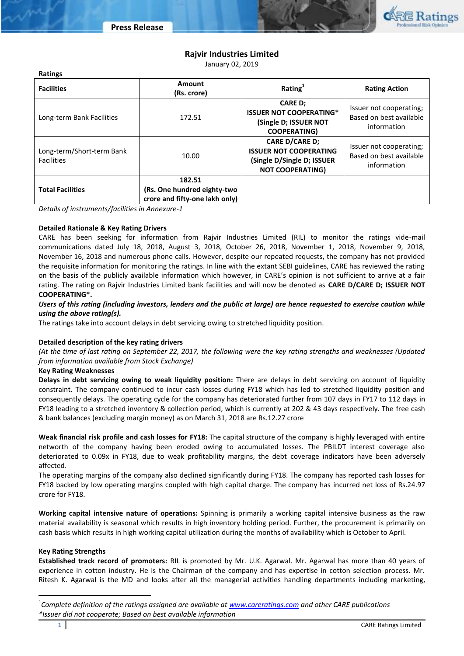

# **Rajvir Industries Limited**

January 02, 2019

| .                                              |                                                                         |                                                                                                                 |                                                                   |
|------------------------------------------------|-------------------------------------------------------------------------|-----------------------------------------------------------------------------------------------------------------|-------------------------------------------------------------------|
| <b>Facilities</b>                              | <b>Amount</b><br>(Rs. crore)                                            | Rating $1$                                                                                                      | <b>Rating Action</b>                                              |
| Long-term Bank Facilities                      | 172.51                                                                  | <b>CARE D;</b><br><b>ISSUER NOT COOPERATING*</b><br>(Single D; ISSUER NOT<br><b>COOPERATING)</b>                | Issuer not cooperating;<br>Based on best available<br>information |
| Long-term/Short-term Bank<br><b>Facilities</b> | 10.00                                                                   | <b>CARE D/CARE D;</b><br><b>ISSUER NOT COOPERATING</b><br>(Single D/Single D; ISSUER<br><b>NOT COOPERATING)</b> | Issuer not cooperating;<br>Based on best available<br>information |
| <b>Total Facilities</b>                        | 182.51<br>(Rs. One hundred eighty-two<br>crore and fifty-one lakh only) |                                                                                                                 |                                                                   |

*Details of instruments/facilities in Annexure-1*

### **Detailed Rationale & Key Rating Drivers**

**Ratings**

CARE has been seeking for information from Rajvir Industries Limited (RIL) to monitor the ratings vide-mail communications dated July 18, 2018, August 3, 2018, October 26, 2018, November 1, 2018, November 9, 2018, November 16, 2018 and numerous phone calls. However, despite our repeated requests, the company has not provided the requisite information for monitoring the ratings. In line with the extant SEBI guidelines, CARE has reviewed the rating on the basis of the publicly available information which however, in CARE's opinion is not sufficient to arrive at a fair rating. The rating on Rajvir Industries Limited bank facilities and will now be denoted as **CARE D/CARE D; ISSUER NOT COOPERATING\*.**

### *Users of this rating (including investors, lenders and the public at large) are hence requested to exercise caution while using the above rating(s).*

The ratings take into account delays in debt servicing owing to stretched liquidity position.

### **Detailed description of the key rating drivers**

*(At the time of last rating on September 22, 2017, the following were the key rating strengths and weaknesses (Updated from information available from Stock Exchange)*

### **Key Rating Weaknesses**

**Delays in debt servicing owing to weak liquidity position:** There are delays in debt servicing on account of liquidity constraint. The company continued to incur cash losses during FY18 which has led to stretched liquidity position and consequently delays. The operating cycle for the company has deteriorated further from 107 days in FY17 to 112 days in FY18 leading to a stretched inventory & collection period, which is currently at 202 & 43 days respectively. The free cash & bank balances (excluding margin money) as on March 31, 2018 are Rs.12.27 crore

**Weak financial risk profile and cash losses for FY18:** The capital structure of the company is highly leveraged with entire networth of the company having been eroded owing to accumulated losses. The PBILDT interest coverage also deteriorated to 0.09x in FY18, due to weak profitability margins, the debt coverage indicators have been adversely affected.

The operating margins of the company also declined significantly during FY18. The company has reported cash losses for FY18 backed by low operating margins coupled with high capital charge. The company has incurred net loss of Rs.24.97 crore for FY18.

**Working capital intensive nature of operations:** Spinning is primarily a working capital intensive business as the raw material availability is seasonal which results in high inventory holding period. Further, the procurement is primarily on cash basis which results in high working capital utilization during the months of availability which is October to April.

### **Key Rating Strengths**

**Established track record of promoters:** RIL is promoted by Mr. U.K. Agarwal. Mr. Agarwal has more than 40 years of experience in cotton industry. He is the Chairman of the company and has expertise in cotton selection process. Mr. Ritesh K. Agarwal is the MD and looks after all the managerial activities handling departments including marketing,

 $\overline{\phantom{a}}$ 

<sup>1</sup> *Complete definition of the ratings assigned are available at [www.careratings.com](http://www.careratings.com/) and other CARE publications \*Issuer did not cooperate; Based on best available information*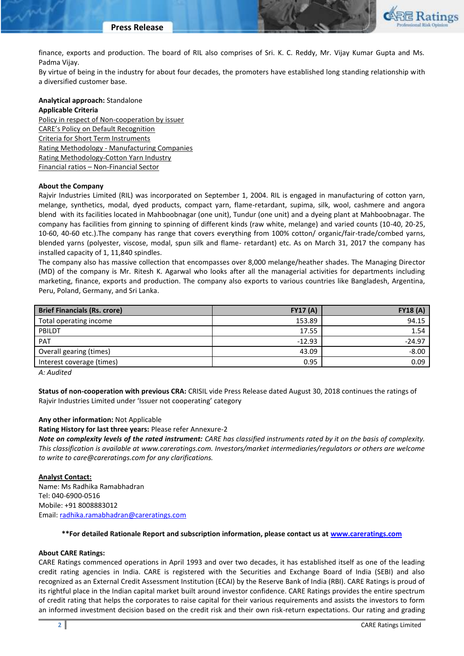

finance, exports and production. The board of RIL also comprises of Sri. K. C. Reddy, Mr. Vijay Kumar Gupta and Ms. Padma Vijay.

By virtue of being in the industry for about four decades, the promoters have established long standing relationship with a diversified customer base.

# **Analytical approach:** Standalone

### **Applicable Criteria**

[Policy in respect of Non-cooperation by issuer](http://www.careratings.com/pdf/resources/CARECreditRatingProcess.pdf) [CARE's Policy on Default Recognition](http://www.careratings.com/pdf/resources/CAREPolicyonDefaultRecognition.pdf) [Criteria for Short Term Instruments](http://www.careratings.com/upload/NewsFiles/GetRated/Short%20Term%20Instruments.pdf) Rating Methodology - [Manufacturing Companies](http://www.careratings.com/upload/NewsFiles/GetRated/RatingMethodology-ManufacturingCompanies27June2017.pdf) [Rating Methodology-Cotton Yarn Industry](http://www.careratings.com/upload/NewsFiles/GetRated/RatingMethodology-CottonYarnIndustry27June2017.pdf) Financial ratios – [Non-Financial Sector](http://www.careratings.com/pdf/resources/FinancialratiosNonFinancialSector.pdf)

### **About the Company**

Rajvir Industries Limited (RIL) was incorporated on September 1, 2004. RIL is engaged in manufacturing of cotton yarn, melange, synthetics, modal, dyed products, compact yarn, flame-retardant, supima, silk, wool, cashmere and angora blend with its facilities located in Mahboobnagar (one unit), Tundur (one unit) and a dyeing plant at Mahboobnagar. The company has facilities from ginning to spinning of different kinds (raw white, melange) and varied counts (10-40, 20-25, 10-60, 40-60 etc.).The company has range that covers everything from 100% cotton/ organic/fair-trade/combed yarns, blended yarns (polyester, viscose, modal, spun silk and flame- retardant) etc. As on March 31, 2017 the company has installed capacity of 1, 11,840 spindles.

The company also has massive collection that encompasses over 8,000 melange/heather shades. The Managing Director (MD) of the company is Mr. Ritesh K. Agarwal who looks after all the managerial activities for departments including marketing, finance, exports and production. The company also exports to various countries like Bangladesh, Argentina, Peru, Poland, Germany, and Sri Lanka.

| <b>Brief Financials (Rs. crore)</b> | <b>FY17 (A)</b> | <b>FY18 (A)</b> |
|-------------------------------------|-----------------|-----------------|
| Total operating income              | 153.89          | 94.15           |
| PBILDT                              | 17.55           | 1.54            |
| <b>PAT</b>                          | $-12.93$        | $-24.97$        |
| Overall gearing (times)             | 43.09           | $-8.00$         |
| Interest coverage (times)           | 0.95            | 0.09            |
|                                     |                 |                 |

*A: Audited*

**Status of non-cooperation with previous CRA:** CRISIL vide Press Release dated August 30, 2018 continues the ratings of Rajvir Industries Limited under 'Issuer not cooperating' category

### **Any other information:** Not Applicable

**Rating History for last three years:** Please refer Annexure-2

*Note on complexity levels of the rated instrument: CARE has classified instruments rated by it on the basis of complexity. This classification is available at www.careratings.com. Investors/market intermediaries/regulators or others are welcome to write to care@careratings.com for any clarifications.*

### **Analyst Contact:**

Name: Ms Radhika Ramabhadran Tel: 040-6900-0516 Mobile: +91 8008883012 Email: [radhika.ramabhadran@careratings.com](mailto:radhika.ramabhadran@careratings.com)

### **\*\*For detailed Rationale Report and subscription information, please contact us at [www.careratings.com](http://www.careratings.com/)**

### **About CARE Ratings:**

CARE Ratings commenced operations in April 1993 and over two decades, it has established itself as one of the leading credit rating agencies in India. CARE is registered with the Securities and Exchange Board of India (SEBI) and also recognized as an External Credit Assessment Institution (ECAI) by the Reserve Bank of India (RBI). CARE Ratings is proud of its rightful place in the Indian capital market built around investor confidence. CARE Ratings provides the entire spectrum of credit rating that helps the corporates to raise capital for their various requirements and assists the investors to form an informed investment decision based on the credit risk and their own risk-return expectations. Our rating and grading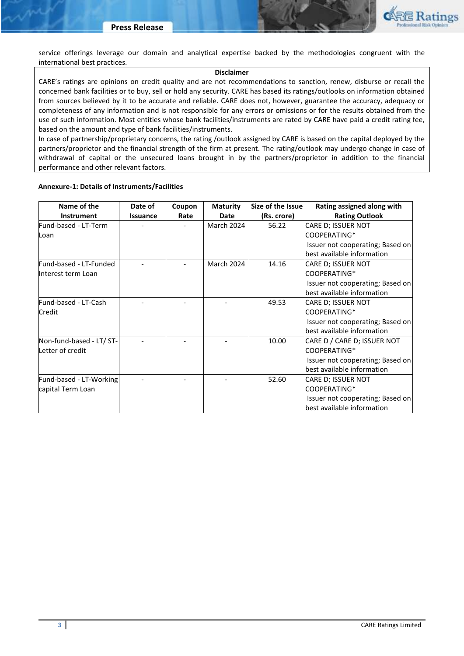

service offerings leverage our domain and analytical expertise backed by the methodologies congruent with the international best practices.

### **Disclaimer**

CARE's ratings are opinions on credit quality and are not recommendations to sanction, renew, disburse or recall the concerned bank facilities or to buy, sell or hold any security. CARE has based its ratings/outlooks on information obtained from sources believed by it to be accurate and reliable. CARE does not, however, guarantee the accuracy, adequacy or completeness of any information and is not responsible for any errors or omissions or for the results obtained from the use of such information. Most entities whose bank facilities/instruments are rated by CARE have paid a credit rating fee, based on the amount and type of bank facilities/instruments.

In case of partnership/proprietary concerns, the rating /outlook assigned by CARE is based on the capital deployed by the partners/proprietor and the financial strength of the firm at present. The rating/outlook may undergo change in case of withdrawal of capital or the unsecured loans brought in by the partners/proprietor in addition to the financial performance and other relevant factors.

### **Annexure-1: Details of Instruments/Facilities**

| Name of the              | Date of  | Coupon | <b>Maturity</b>   | Size of the Issue | Rating assigned along with       |
|--------------------------|----------|--------|-------------------|-------------------|----------------------------------|
| <b>Instrument</b>        | Issuance | Rate   | <b>Date</b>       | (Rs. crore)       | <b>Rating Outlook</b>            |
| Fund-based - LT-Term     |          |        | <b>March 2024</b> | 56.22             | CARE D; ISSUER NOT               |
| Loan                     |          |        |                   |                   | COOPERATING*                     |
|                          |          |        |                   |                   | Issuer not cooperating; Based on |
|                          |          |        |                   |                   | best available information       |
| Fund-based - LT-Funded   |          |        | <b>March 2024</b> | 14.16             | CARE D; ISSUER NOT               |
| Interest term Loan       |          |        |                   |                   | COOPERATING*                     |
|                          |          |        |                   |                   | Issuer not cooperating; Based on |
|                          |          |        |                   |                   | best available information       |
| Fund-based - LT-Cash     |          |        |                   | 49.53             | CARE D; ISSUER NOT               |
| <b>Credit</b>            |          |        |                   |                   | COOPERATING*                     |
|                          |          |        |                   |                   | Issuer not cooperating; Based on |
|                          |          |        |                   |                   | best available information       |
| Non-fund-based - LT/ ST- |          |        |                   | 10.00             | CARE D / CARE D; ISSUER NOT      |
| Letter of credit         |          |        |                   |                   | COOPERATING*                     |
|                          |          |        |                   |                   | Issuer not cooperating; Based on |
|                          |          |        |                   |                   | best available information       |
| Fund-based - LT-Working  |          |        |                   | 52.60             | CARE D; ISSUER NOT               |
| capital Term Loan        |          |        |                   |                   | COOPERATING*                     |
|                          |          |        |                   |                   | Issuer not cooperating; Based on |
|                          |          |        |                   |                   | best available information       |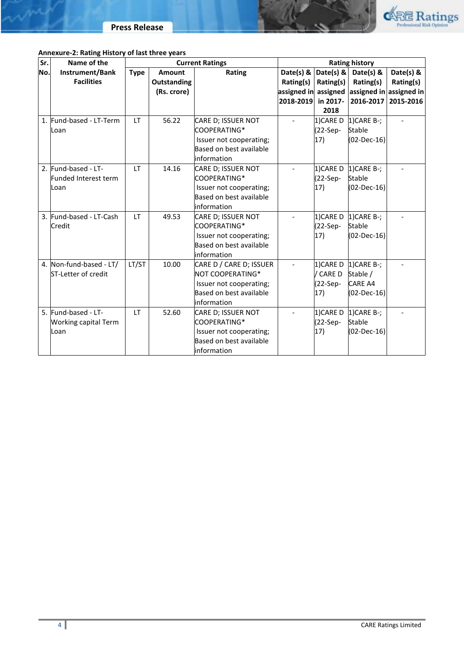

# **Annexure-2: Rating History of last three years**

| Sr. | Name of the                 | <b>Current Ratings</b> |             | <b>Rating history</b>   |                    |               |                                  |           |
|-----|-----------------------------|------------------------|-------------|-------------------------|--------------------|---------------|----------------------------------|-----------|
| No. | Instrument/Bank             | <b>Type</b>            | Amount      | Rating                  |                    |               | Date(s) & $Data(s)$ & Date(s) &  | Date(s) & |
|     | <b>Facilities</b>           |                        | Outstanding |                         | Rating(s)          | Rating(s)     | Rating(s)                        | Rating(s) |
|     |                             |                        | (Rs. crore) |                         | assigned in        |               | assigned assigned in assigned in |           |
|     |                             |                        |             |                         | 2018-2019 in 2017- |               | 2016-2017                        | 2015-2016 |
|     |                             |                        |             |                         |                    | 2018          |                                  |           |
|     | 1. Fund-based - LT-Term     | LT.                    | 56.22       | CARE D; ISSUER NOT      |                    | 1)CARE D      | $1)$ CARE B-;                    |           |
|     | Loan                        |                        |             | COOPERATING*            |                    | (22-Sep-      | Stable                           |           |
|     |                             |                        |             | Issuer not cooperating; |                    | 17)           | $(02-Dec-16)$                    |           |
|     |                             |                        |             | Based on best available |                    |               |                                  |           |
|     |                             |                        |             | information             |                    |               |                                  |           |
|     | 2. Fund-based - LT-         | <b>LT</b>              | 14.16       | CARE D; ISSUER NOT      |                    | 1) CARE D     | $1)$ CARE B-;                    |           |
|     | Funded Interest term        |                        |             | COOPERATING*            |                    | (22-Sep-      | <b>Stable</b>                    |           |
|     | Loan                        |                        |             | Issuer not cooperating; |                    | 17)           | $(02-Dec-16)$                    |           |
|     |                             |                        |             | Based on best available |                    |               |                                  |           |
|     |                             |                        |             | information             |                    |               |                                  |           |
|     | 3. Fund-based - LT-Cash     | LT                     | 49.53       | CARE D; ISSUER NOT      |                    | 1)CARE D      | $1)$ CARE B-;                    |           |
|     | Credit                      |                        |             | COOPERATING*            |                    | (22-Sep-      | <b>Stable</b>                    |           |
|     |                             |                        |             | Issuer not cooperating; |                    | 17)           | $(02-Dec-16)$                    |           |
|     |                             |                        |             | Based on best available |                    |               |                                  |           |
|     |                             |                        |             | information             |                    |               |                                  |           |
|     | 4. Non-fund-based - LT/     | LT/ST                  | 10.00       | CARE D / CARE D; ISSUER |                    | 1)CARE D      | $1)$ CARE B-;                    |           |
|     | ST-Letter of credit         |                        |             | NOT COOPERATING*        |                    | <b>CARE D</b> | Stable /                         |           |
|     |                             |                        |             | Issuer not cooperating; |                    | $(22-Sep-$    | <b>CARE A4</b>                   |           |
|     |                             |                        |             | Based on best available |                    | 17)           | (02-Dec-16)                      |           |
|     |                             |                        |             | information             |                    |               |                                  |           |
|     | 5. Fund-based - LT-         | <b>LT</b>              | 52.60       | CARE D; ISSUER NOT      |                    | 1)CARE D      | $1)$ CARE B-;                    |           |
|     | <b>Working capital Term</b> |                        |             | COOPERATING*            |                    | (22-Sep-      | Stable                           |           |
|     | Loan                        |                        |             | Issuer not cooperating; |                    | 17)           | (02-Dec-16)                      |           |
|     |                             |                        |             | Based on best available |                    |               |                                  |           |
|     |                             |                        |             | information             |                    |               |                                  |           |